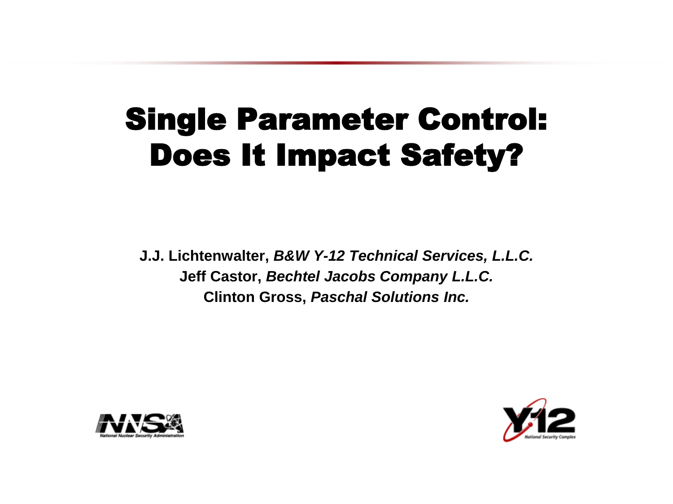### Single Parameter Control: Does It Impact Safety?

**J.J. Lichtenwalter,** *B&W Y-12 Technical Services, L.L.C.* **Jeff Castor,** *Bechtel Jacobs Company L.L.C.* **Clinton Gross,** *Paschal Solutions Inc.*



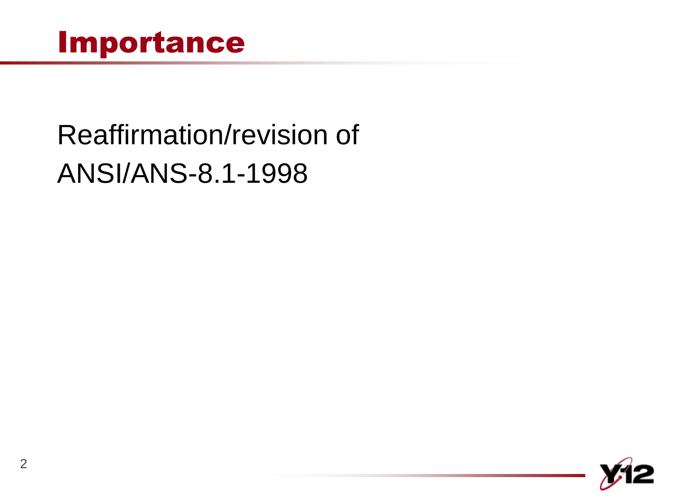## Reaffirmation/revision of ANSI/ANS-8.1-1998

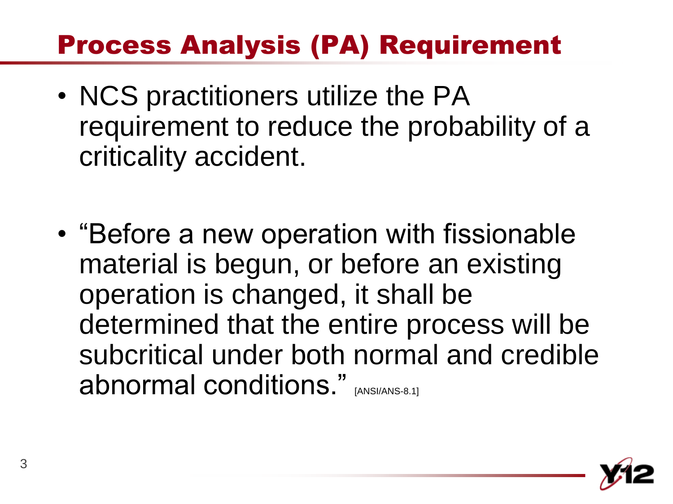#### Process Analysis (PA) Requirement

- NCS practitioners utilize the PA requirement to reduce the probability of a criticality accident.
- "Before a new operation with fissionable material is begun, or before an existing operation is changed, it shall be determined that the entire process will be subcritical under both normal and credible abnormal conditions." [ANSI/ANS-8.1]

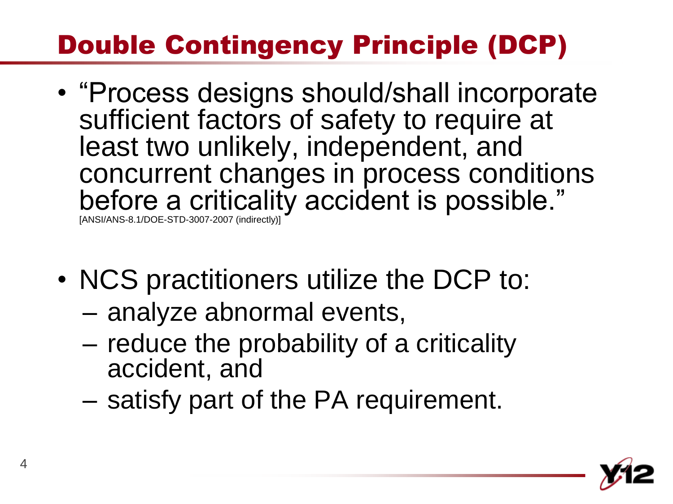#### Double Contingency Principle (DCP)

- "Process designs should/shall incorporate sufficient factors of safety to require at least two unlikely, independent, and concurrent changes in process conditions before a criticality accident is possible." [ANSI/ANS-8.1/DOE-STD-3007-2007 (indirectly)]
- NCS practitioners utilize the DCP to:
	- analyze abnormal events,
	- reduce the probability of a criticality accident, and
	- satisfy part of the PA requirement.

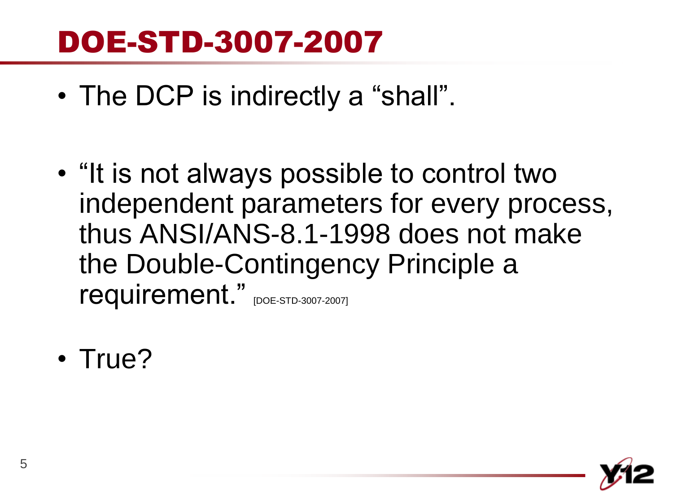#### DOE-STD-3007-2007

- The DCP is indirectly a "shall".
- "It is not always possible to control two independent parameters for every process, thus ANSI/ANS-8.1-1998 does not make the Double-Contingency Principle a requirement." [DOE-STD-3007-2007]
- True?

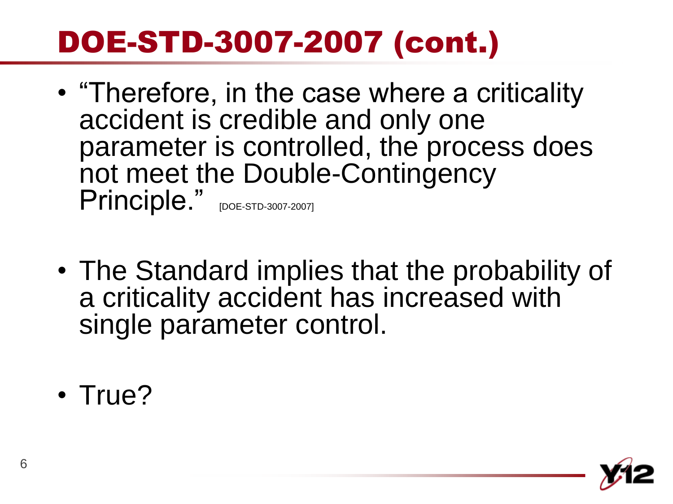## DOE-STD-3007-2007 (cont.)

- "Therefore, in the case where a criticality accident is credible and only one parameter is controlled, the process does not meet the Double-Contingency Principle." [DOE-STD-3007-2007]
- The Standard implies that the probability of a criticality accident has increased with single parameter control.
- True?

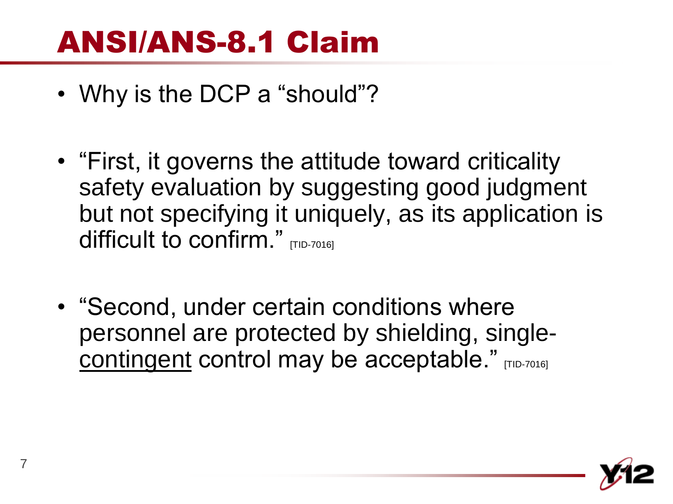### ANSI/ANS-8.1 Claim

- Why is the DCP a "should"?
- "First, it governs the attitude toward criticality safety evaluation by suggesting good judgment but not specifying it uniquely, as its application is difficult to confirm." **TTID-70161**
- "Second, under certain conditions where personnel are protected by shielding, singlecontingent control may be acceptable." [TID-7016]

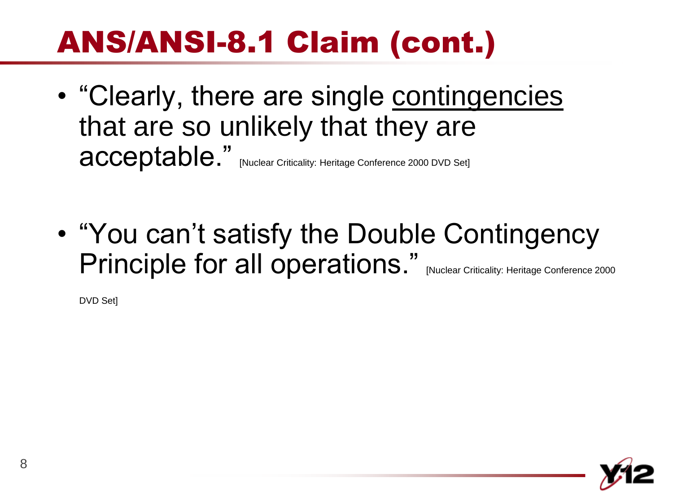## ANS/ANSI-8.1 Claim (cont.)

- "Clearly, there are single contingencies that are so unlikely that they are acceptable." [Nuclear Criticality: Heritage Conference 2000 DVD Set]
- "You can't satisfy the Double Contingency Principle for all operations." [Nuclear Criticality: Heritage Conference 2000

DVD Set]

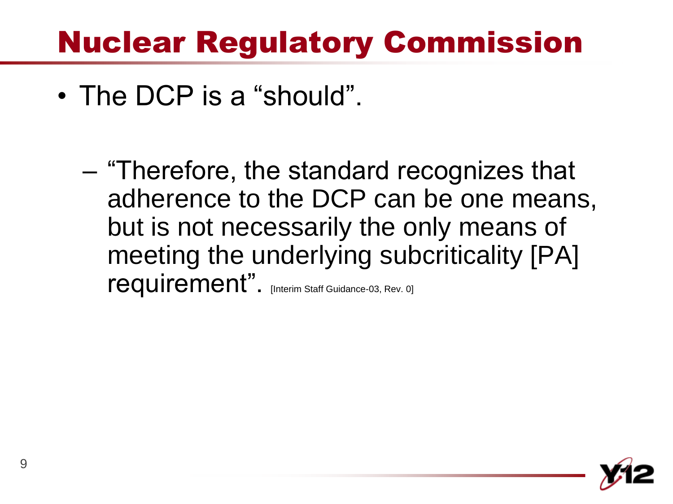#### Nuclear Regulatory Commission

- The DCP is a "should".
	- "Therefore, the standard recognizes that adherence to the DCP can be one means, but is not necessarily the only means of meeting the underlying subcriticality [PA] requirement". [Interim Staff Guidance-03, Rev. 0]

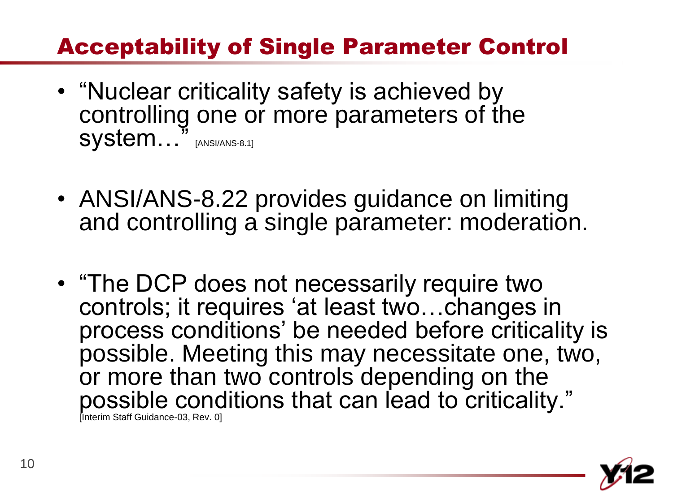#### Acceptability of Single Parameter Control

- "Nuclear criticality safety is achieved by controlling one or more parameters of the System..." [ANSI/ANS-8.1]
- ANSI/ANS-8.22 provides guidance on limiting and controlling a single parameter: moderation.
- "The DCP does not necessarily require two controls; it requires "at least two…changes in process conditions" be needed before criticality is possible. Meeting this may necessitate one, two, or more than two controls depending on the possible conditions that can lead to criticality." [Interim Staff Guidance-03, Rev. 0]

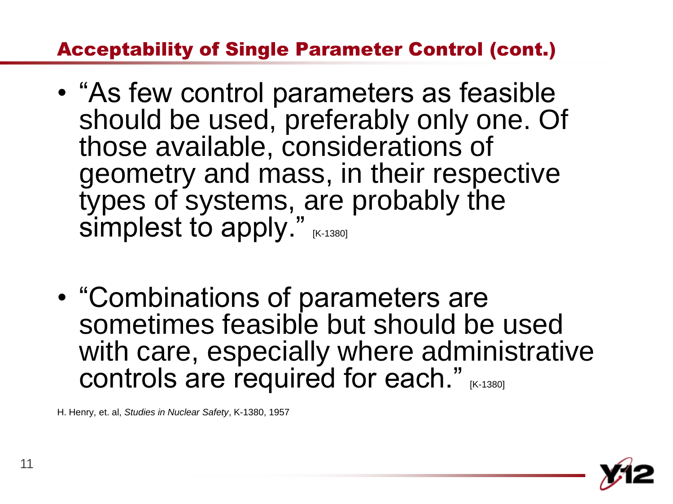#### Acceptability of Single Parameter Control (cont.)

- "As few control parameters as feasible should be used, preferably only one. Of those available, considerations of geometry and mass, in their respective types of systems, are probably the simplest to apply."  $(K+1380)$
- "Combinations of parameters are sometimes feasible but should be used with care, especially where administrative controls are required for each." IK-13801

H. Henry, et. al, *Studies in Nuclear Safety*, K-1380, 1957

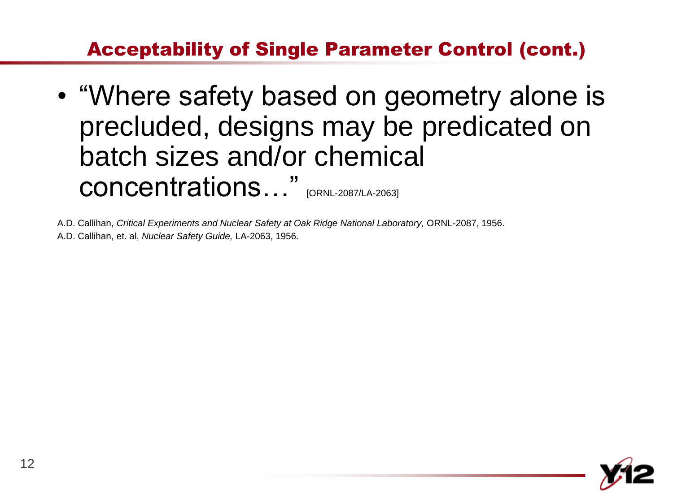#### Acceptability of Single Parameter Control (cont.)

• "Where safety based on geometry alone is precluded, designs may be predicated on batch sizes and/or chemical concentrations…" [ORNL-2087/LA-2063]

A.D. Callihan, *Critical Experiments and Nuclear Safety at Oak Ridge National Laboratory,* ORNL-2087, 1956. A.D. Callihan, et. al, *Nuclear Safety Guide,* LA-2063, 1956.

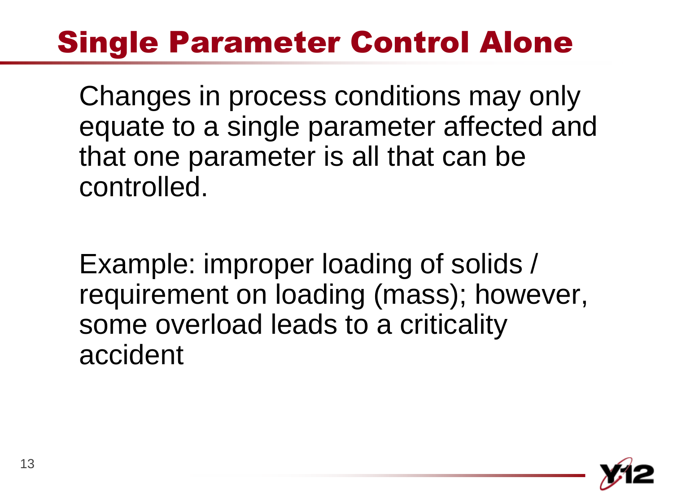## Single Parameter Control Alone

Changes in process conditions may only equate to a single parameter affected and that one parameter is all that can be controlled.

Example: improper loading of solids / requirement on loading (mass); however, some overload leads to a criticality accident

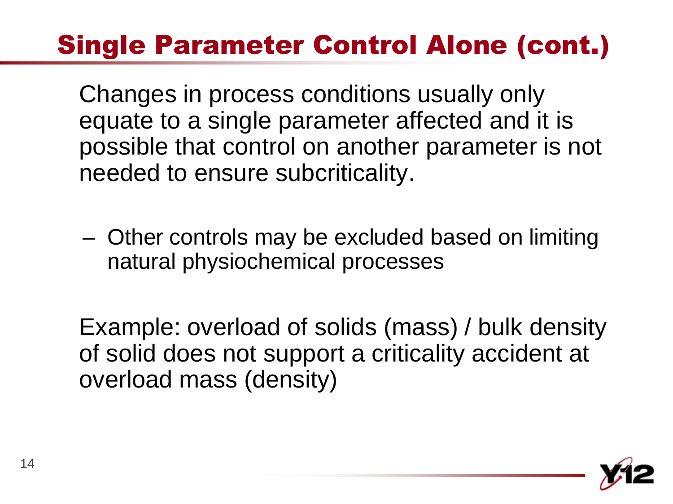#### Single Parameter Control Alone (cont.)

Changes in process conditions usually only equate to a single parameter affected and it is possible that control on another parameter is not needed to ensure subcriticality.

– Other controls may be excluded based on limiting natural physiochemical processes

Example: overload of solids (mass) / bulk density of solid does not support a criticality accident at overload mass (density)

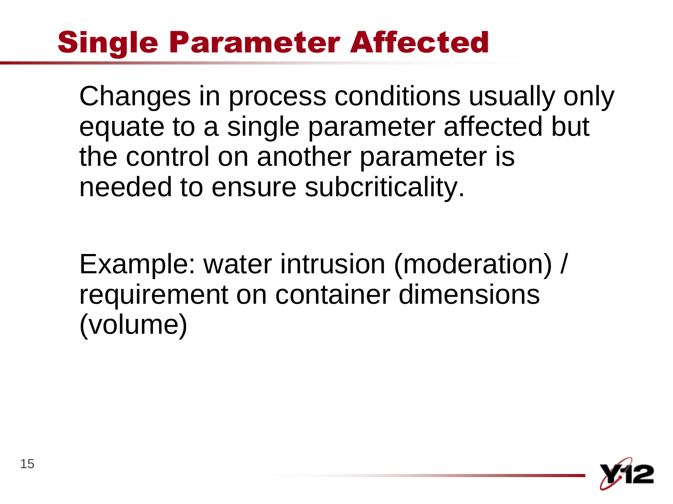#### Single Parameter Affected

Changes in process conditions usually only equate to a single parameter affected but the control on another parameter is needed to ensure subcriticality.

Example: water intrusion (moderation) / requirement on container dimensions (volume)

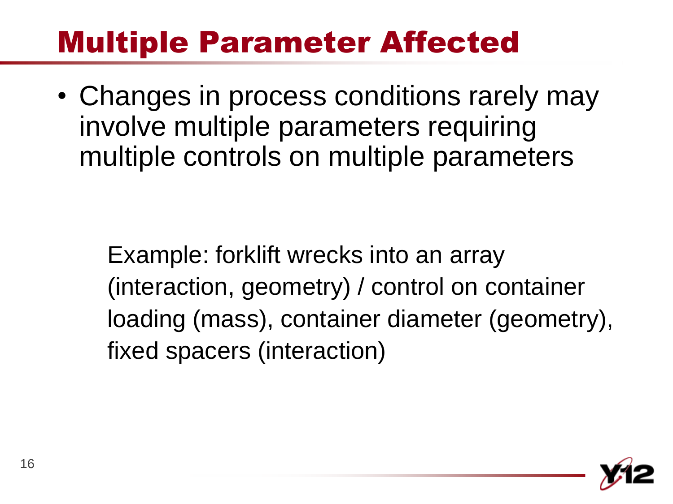#### Multiple Parameter Affected

• Changes in process conditions rarely may involve multiple parameters requiring multiple controls on multiple parameters

Example: forklift wrecks into an array (interaction, geometry) / control on container loading (mass), container diameter (geometry), fixed spacers (interaction)

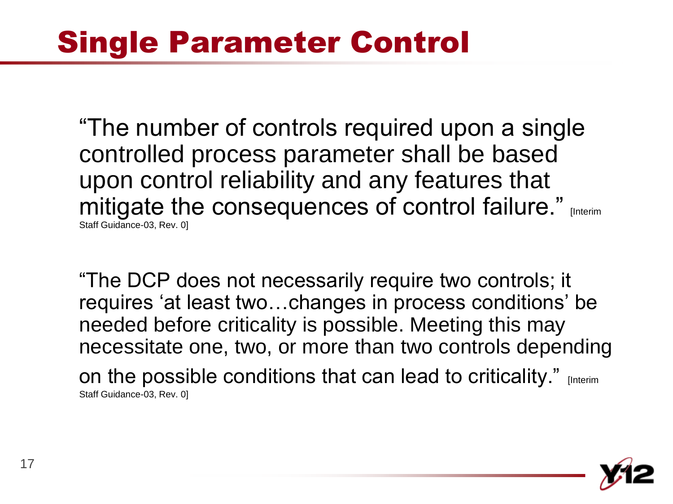### Single Parameter Control

"The number of controls required upon a single controlled process parameter shall be based upon control reliability and any features that mitigate the consequences of control failure." [Interim Staff Guidance-03, Rev. 0]

"The DCP does not necessarily require two controls; it requires "at least two…changes in process conditions" be needed before criticality is possible. Meeting this may necessitate one, two, or more than two controls depending on the possible conditions that can lead to criticality." [Interim] Staff Guidance-03, Rev. 0]

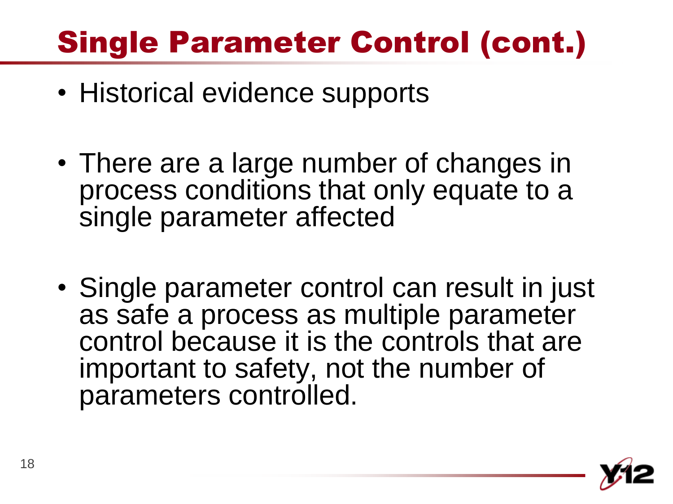# Single Parameter Control (cont.)

- Historical evidence supports
- There are a large number of changes in process conditions that only equate to a single parameter affected
- Single parameter control can result in just as safe a process as multiple parameter control because it is the controls that are important to safety, not the number of parameters controlled.

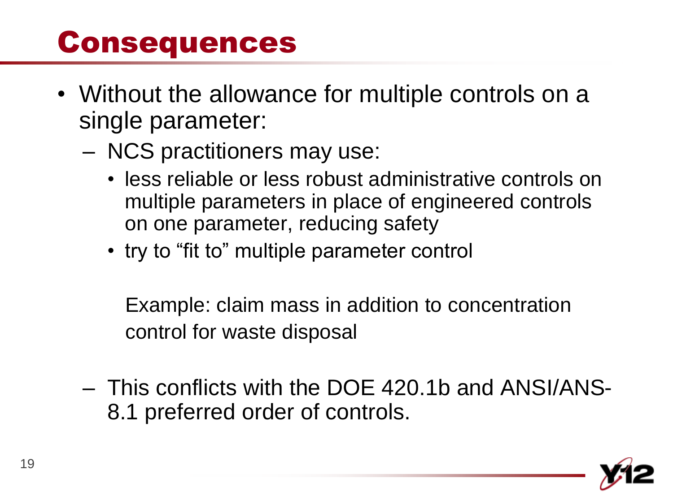#### Consequences

- Without the allowance for multiple controls on a single parameter:
	- NCS practitioners may use:
		- less reliable or less robust administrative controls on multiple parameters in place of engineered controls on one parameter, reducing safety
		- try to "fit to" multiple parameter control

Example: claim mass in addition to concentration control for waste disposal

– This conflicts with the DOE 420.1b and ANSI/ANS-8.1 preferred order of controls.

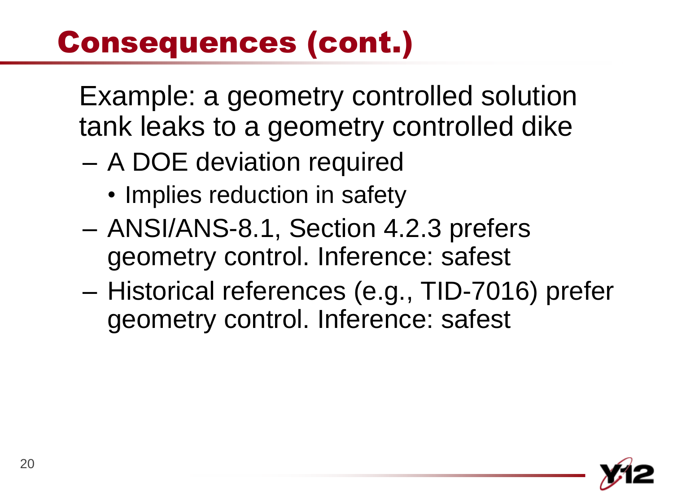# Consequences (cont.)

Example: a geometry controlled solution tank leaks to a geometry controlled dike

- A DOE deviation required
	- Implies reduction in safety
- ANSI/ANS-8.1, Section 4.2.3 prefers geometry control. Inference: safest
- Historical references (e.g., TID-7016) prefer geometry control. Inference: safest

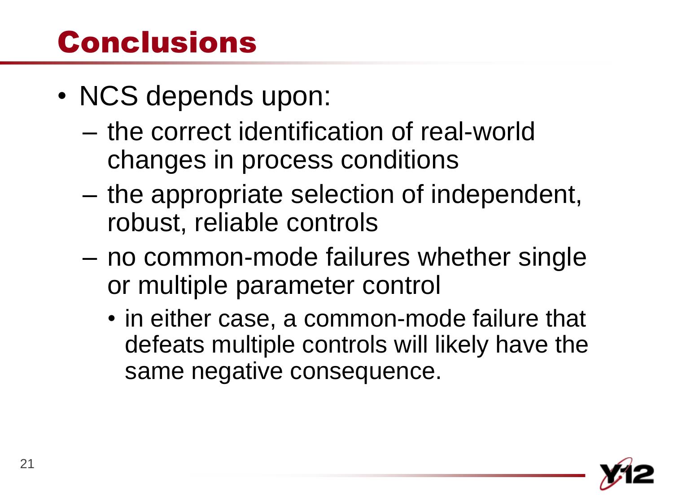#### Conclusions

- NCS depends upon:
	- the correct identification of real-world changes in process conditions
	- the appropriate selection of independent, robust, reliable controls
	- no common-mode failures whether single or multiple parameter control
		- in either case, a common-mode failure that defeats multiple controls will likely have the same negative consequence.

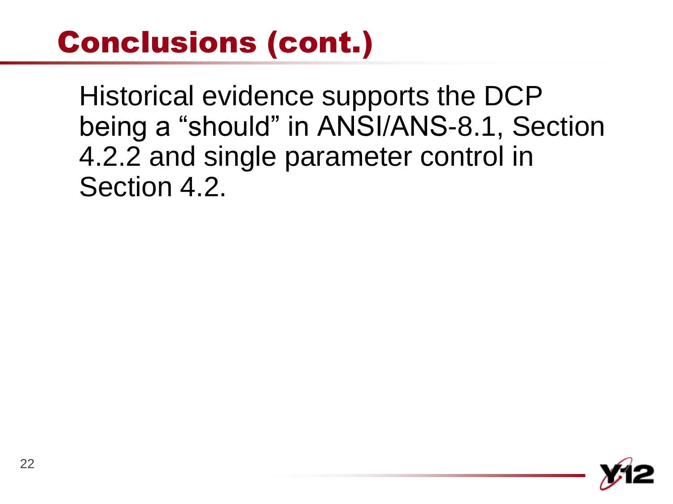### Conclusions (cont.)

Historical evidence supports the DCP being a "should" in ANSI/ANS-8.1, Section 4.2.2 and single parameter control in Section 4.2.